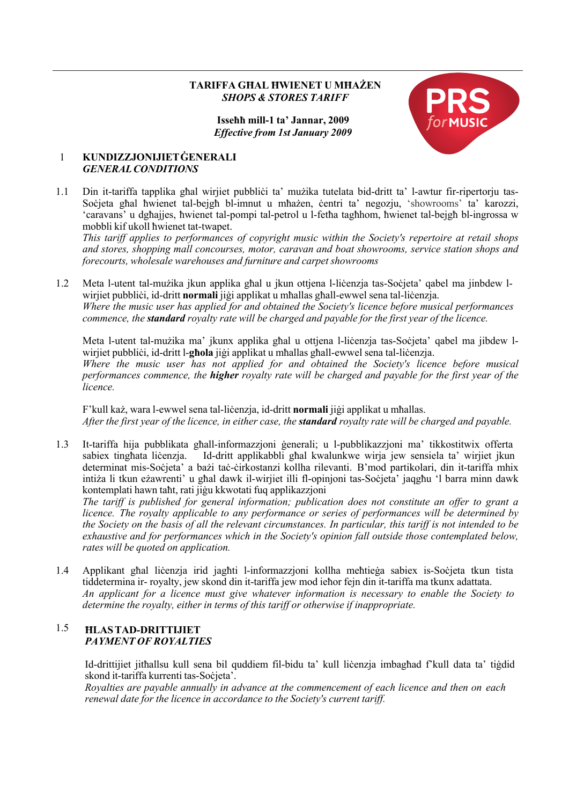## **TARIFFA GĦAL ĦWIENET U MĦAŻEN** *SHOPS & STORES TARIFF*

## **Isseħħ mill-1 ta' Jannar, 2009** *Effective from 1st January 2009*



## 1 **KUNDIZZJONIJIETĠENERALI** *GENERALCONDITIONS*

1.1 Din it-tariffa tapplika għal wirjiet pubbliċi ta' mużika tutelata bid-dritt ta' l-awtur fir-ripertorju tas-Soċjeta għal ħwienet tal-bejgħ bl-imnut u mħażen, ċentri ta' negozju, 'showrooms' ta' karozzi, 'caravans' u dgħajjes, ħwienet tal-pompi tal-petrol u l-fetħa tagħhom, ħwienet tal-bejgħ bl-ingrossa w mobbli kif ukoll ħwienet tat-twapet.

*This tariff applies to performances of copyright music within the Society's repertoire at retail shops and stores, shopping mall concourses, motor, caravan and boat showrooms, service station shops and forecourts, wholesale warehouses and furniture and carpet showrooms*

1.2 Meta l-utent tal-mużika jkun applika għal u jkun ottjena l-liċenzja tas-Soċjeta' qabel ma jinbdew lwirjiet pubbliċi, id-dritt **normali** jiġi applikat u mħallas għall-ewwel sena tal-liċenzja. *Where the music user has applied for and obtained the Society's licence before musical performances commence, the standard royalty rate will be charged and payable for the first year of the licence.*

Meta l-utent tal-mużika ma' jkunx applika għal u ottjena l-liċenzja tas-Soċjeta' qabel ma jibdew lwirjiet pubbliċi, id-dritt l-**għola** jiġi applikat u mħallas għall-ewwel sena tal-liċenzja. *Where the music user has not applied for and obtained the Society's licence before musical performances commence, the higher royalty rate will be charged and payable for the first year of the licence.*

F'kull każ, wara l-ewwel sena tal-liċenzja, id-dritt **normali** jiġi applikat u mħallas. After the first year of the licence, in either case, the **standard** royalty rate will be charged and payable.

1.3 It-tariffa hija pubblikata għall-informazzjoni ġenerali; u l-pubblikazzjoni ma' tikkostitwix offerta sabiex tingħata liċenzja. Id-dritt applikabbli għal kwalunkwe wirja jew sensiela ta' wirjiet jkun determinat mis-Soċjeta' a bażi taċ-ċirkostanzi kollha rilevanti. B'mod partikolari, din it-tariffa mhix intiża li tkun eżawrenti' u għal dawk il-wirjiet illi fl-opinjoni tas-Soċjeta' jaqgħu 'l barra minn dawk kontemplati hawn taħt, rati jiġu kkwotati fuq applikazzjoni

*The tariff is published for general information; publication does not constitute an offer to grant a licence. The royalty applicable to any performance or series of performances will be determined by the Society on the basis of all the relevant circumstances. In particular, this tariff is not intended to be exhaustive and for performances which in the Society's opinion fall outside those contemplated below, rates will be quoted on application.*

1.4 Applikant għal liċenzja irid jagħti l-informazzjoni kollha meħtieġa sabiex is-Soċjeta tkun tista tiddetermina ir- royalty, jew skond din it-tariffa jew mod ieħor fejn din it-tariffa ma tkunx adattata. *An applicant for a licence must give whatever information is necessary to enable the Society to determine the royalty, either in terms of this tariff or otherwise if inappropriate.*

## 1.5 **ĦLASTAD-DRITTIJIET** *PAYMENT OF ROYALTIES*

Id-drittijiet jitħallsu kull sena bil quddiem fil-bidu ta' kull liċenzja imbagħad f'kull data ta' tiġdid skond it-tariffa kurrenti tas-Soċjeta'.

*Royalties are payable annually in advance at the commencement of each licence and then on each renewal date for the licence in accordance to the Society's current tariff.*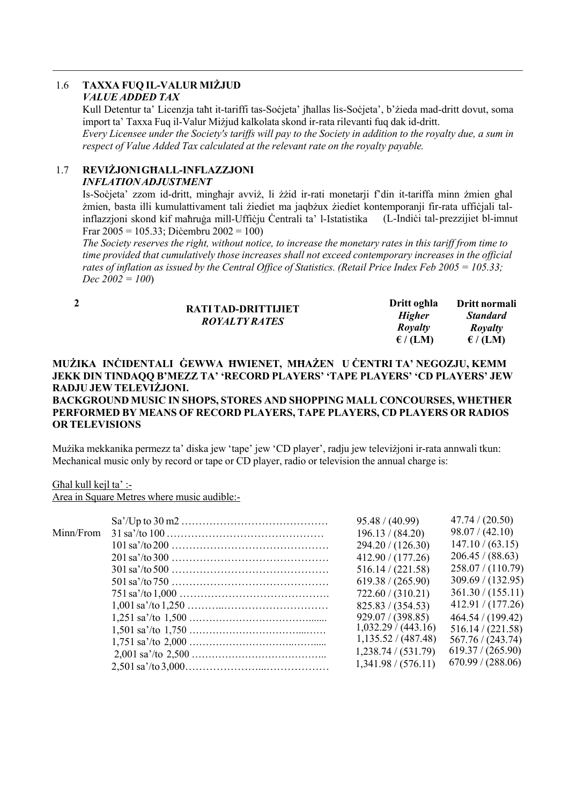#### $1.6$ **TAXXA FUO IL-VALUR MIŻJUD VALUE ADDED TAX**

Kull Detentur ta' Licenzia taht it-tariffi tas-Societa' ihallas lis-Societa', b'zieda mad-dritt dovut, soma import ta' Taxxa Fuq il-Valur Miziud kalkolata skond ir-rata rilevanti fuq dak id-dritt.

Every Licensee under the Society's tariffs will pay to the Society in addition to the royalty due, a sum in respect of Value Added Tax calculated at the relevant rate on the rovalty payable.

#### REVIŻJONI GHALL-INFLAZZJONI  $1.7$

# **INFLATION ADJUSTMENT**

Is-Societa' zzom id-dritt, minghair avviz, li zzid ir-rati monetarii f'din it-tariffa minn zmien ghal żmien, basta illi kumulattivament tali żiediet ma jagbżux żiediet kontemporanii fir-rata ufficjali talinflazzioni skond kif mahruga mill-Ufficju Centrali ta' l-Istatistika (L-Indici tal-prezzijiet bl-imnut Fran  $2005 = 105.33$ : Dicembru  $2002 = 100$ )

The Society reserves the right, without notice, to increase the monetary rates in this tariff from time to time provided that cumulatively those increases shall not exceed contemporary increases in the official rates of inflation as issued by the Central Office of Statistics. (Retail Price Index Feb 2005 = 105.33;  $Dec~2002 = 100$ 

| Dritt oghla       | Dritt normali     |
|-------------------|-------------------|
| <b>Higher</b>     | <b>Standard</b>   |
| Royalty           | Royalty           |
| $\epsilon$ / (LM) | $\epsilon$ / (LM) |
|                   |                   |

## MUŻIKA INCIDENTALI GEWWA HWIENET, MHAŻEN U CENTRI TA' NEGOZJU, KEMM JEKK DIN TINDAOO B'MEZZ TA' 'RECORD PLAYERS' 'TAPE PLAYERS' 'CD PLAYERS' JEW RADJU JEW TELEVIŻJONI.

## **BACKGROUND MUSIC IN SHOPS. STORES AND SHOPPING MALL CONCOURSES. WHETHER** PERFORMED BY MEANS OF RECORD PLAYERS, TAPE PLAYERS, CD PLAYERS OR RADIOS **OR TELEVISIONS**

Mużika mekkanika permezz ta' diska jew 'tape' jew 'CD player', radju jew televiżjoni ir-rata annwali tkun: Mechanical music only by record or tape or CD player, radio or television the annual charge is:

Ghal kull kejl ta' :-

Area in Square Metres where music audible:-

|           | $\text{Sa'}/\text{Up}$ to $30 \text{ m}2 \dots \dots \dots \dots \dots \dots \dots \dots \dots \dots \dots$ | 95.48 / (40.99)     | 47.74 / (20.50)   |
|-----------|-------------------------------------------------------------------------------------------------------------|---------------------|-------------------|
| Minn/From |                                                                                                             | 196.13 / (84.20)    | 98.07 / (42.10)   |
|           |                                                                                                             | 294.20 / (126.30)   | 147.10 / (63.15)  |
|           |                                                                                                             | 412.90 / (177.26)   | 206.45 / (88.63)  |
|           |                                                                                                             | 516.14 / (221.58)   | 258.07 / (110.79) |
|           |                                                                                                             | 619.38 / (265.90)   | 309.69 / (132.95) |
|           |                                                                                                             | 722.60 / (310.21)   | 361.30 / (155.11) |
|           |                                                                                                             | 825.83 / (354.53)   | 412.91 / (177.26) |
|           |                                                                                                             | 929.07 / (398.85)   | 464.54 / (199.42) |
|           |                                                                                                             | 1,032.29 / (443.16) | 516.14 / (221.58) |
|           |                                                                                                             | 1,135.52/(487.48)   | 567.76 / (243.74) |
|           |                                                                                                             | 1,238.74 / (531.79) | 619.37 / (265.90) |
|           |                                                                                                             | 1,341.98 / (576.11) | 670.99 / (288.06) |
|           |                                                                                                             |                     |                   |